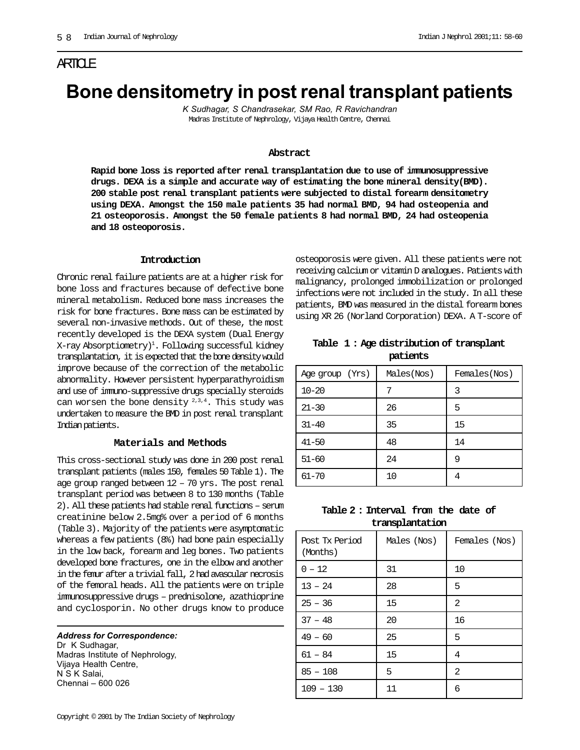## ARTICLE

# **Bone densitometry in post renal transplant patients**

*K Sudhagar, S Chandrasekar, SM Rao, R Ravichandran* Madras Institute of Nephrology, Vijaya Health Centre, Chennai

#### **Abstract**

**Rapid bone loss is reported after renal transplantation due to use of immunosuppressive drugs. DEXA is a simple and accurate way of estimating the bone mineral density(BMD). 200 stable post renal transplant patients were subjected to distal forearm densitometry using DEXA. Amongst the 150 male patients 35 had normal BMD, 94 had osteopenia and 21 osteoporosis. Amongst the 50 female patients 8 had normal BMD, 24 had osteopenia and 18 osteoporosis.**

#### **Introduction**

Chronic renal failure patients are at a higher risk for bone loss and fractures because of defective bone mineral metabolism. Reduced bone mass increases the risk for bone fractures. Bone mass can be estimated by several non-invasive methods. Out of these, the most recently developed is the DEXA system (Dual Energy X-ray Absorptiometry)<sup>1</sup>. Following successful kidney transplantation, it is expected that the bone density would improve because of the correction of the metabolic abnormality. However persistent hyperparathyroidism and use of immuno-suppressive drugs specially steroids can worsen the bone density  $2,3,4$ . This study was undertaken to measure the BMD in post renal transplant Indian patients.

#### **Materials and Methods**

This cross-sectional study was done in 200 post renal transplant patients (males 150, females 50 Table 1). The age group ranged between 12 – 70 yrs. The post renal transplant period was between 8 to 130 months (Table 2). All these patients had stable renal functions – serum creatinine below 2.5mg% over a period of 6 months (Table 3). Majority of the patients were asymptomatic whereas a few patients (8%) had bone pain especially in the low back, forearm and leg bones. Two patients developed bone fractures, one in the elbow and another in the femur after a trivial fall, 2 had avascular necrosis of the femoral heads. All the patients were on triple immunosuppressive drugs – prednisolone, azathioprine and cyclosporin. No other drugs know to produce

*Address for Correspondence:* Dr K Sudhagar, Madras Institute of Nephrology, Vijaya Health Centre, N S K Salai, Chennai – 600 026

osteoporosis were given. All these patients were not receiving calcium or vitamin D analogues. Patients with malignancy, prolonged immobilization or prolonged infections were not included in the study. In all these patients, BMD was measured in the distal forearm bones using XR 26 (Norland Corporation) DEXA. A T-score of

**Table 1 : Age distribution of transplant patients**

| Age group (Yrs) | Males(Nos) | Females(Nos) |  |
|-----------------|------------|--------------|--|
| $10 - 20$       | 7          | 3            |  |
| $21 - 30$       | 26         | 5            |  |
| $31 - 40$       | 35         | 15           |  |
| $41 - 50$       | 48         | 14           |  |
| $51 - 60$       | 24         | 9            |  |
| $61 - 70$       | 10         |              |  |

**Table 2 : Interval from the date of transplantation**

| Post Tx Period<br>(Months) | Males (Nos) | Females (Nos) |
|----------------------------|-------------|---------------|
| $0 - 12$                   | 31          | 10            |
| $13 - 24$                  | 28          | 5             |
| $25 - 36$                  | 15          | 2             |
| $37 - 48$                  | 20          | 16            |
| $49 - 60$                  | 25          | 5             |
| $61 - 84$                  | 15          | 4             |
| $85 - 108$                 | 5           | 2             |
| $109 - 130$                | 11          | 6             |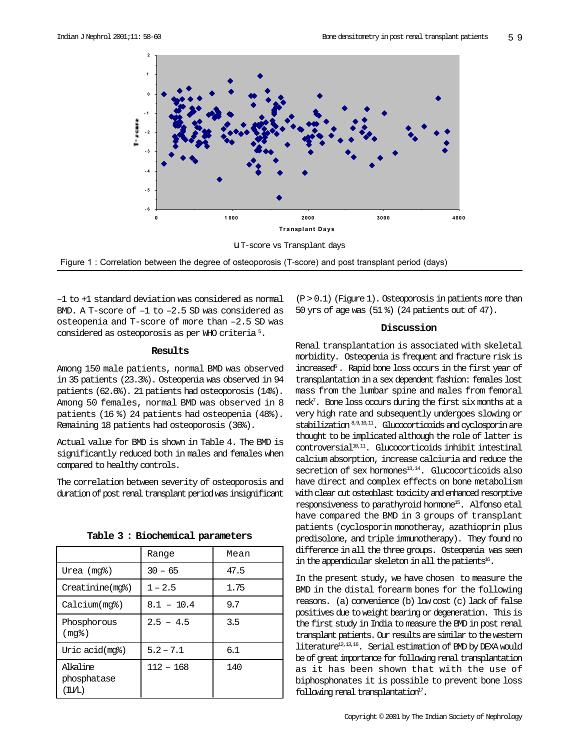

Figure 1 : Correlation between the degree of osteoporosis (T-score) and post transplant period (days)

–1 to +1 standard deviation was considered as normal BMD. A T-score of –1 to –2.5 SD was considered as osteopenia and T-score of more than –2.5 SD was considered as osteoporosis as per WHO criteria 5 .

#### **Results**

Among 150 male patients, normal BMD was observed in 35 patients (23.3%). Osteopenia was observed in 94 patients (62.6%). 21 patients had osteoporosis (14%). Among 50 females, normal BMD was observed in 8 patients (16 %) 24 patients had osteopenia (48%). Remaining 18 patients had osteoporosis (36%).

Actual value for BMD is shown in Table 4. The BMD is significantly reduced both in males and females when compared to healthy controls.

The correlation between severity of osteoporosis and duration of post renal transplant period was insignificant

|                                                          | Range        | Mean |  |
|----------------------------------------------------------|--------------|------|--|
| Urea (mg%)                                               | $30 - 65$    | 47.5 |  |
| Creatinine(mg%)                                          | $1 - 2.5$    | 1.75 |  |
| Calcium(mq <sub>8</sub> )                                | $8.1 - 10.4$ | 9.7  |  |
| Phosphorous<br>(mq <sub>8</sub> )                        | $2.5 - 4.5$  | 3.5  |  |
| Uric acid(mg%)                                           | $5.2 - 7.1$  | 6.1  |  |
| Alkaline<br>phosphatase<br>$(\text{I}\text{U}/\text{L})$ | $112 - 168$  | 140  |  |

**Table 3 : Biochemical parameters**

 $(P > 0.1)$  (Figure 1). Osteoporosis in patients more than 50 yrs of age was (51 %) (24 patients out of 47).

#### **Discussion**

Renal transplantation is associated with skeletal morbidity. Osteopenia is frequent and fracture risk is increased<sup>6</sup>. Rapid bone loss occurs in the first year of transplantation in a sex dependent fashion: females lost mass from the lumbar spine and males from femoral neck7 . Bone loss occurs during the first six months at a very high rate and subsequently undergoes slowing or stabilization 8,9,10,11. Glucocorticoids and cyclosporin are thought to be implicated although the role of latter is  $control$ controversial $1^{10,11}$ . Glucocorticoids inhibit intestinal calcium absorption, increase calciuria and reduce the  $s$ ecretion of sex hormones $^{13,14}$ . Glucocorticoids also have direct and complex effects on bone metabolism with clear cut osteoblast toxicity and enhanced resorptive responsiveness to parathyroid hormone15. Alfonso etal have compared the BMD in 3 groups of transplant patients (cyclosporin monotheray, azathioprin plus predisolone, and triple immunotherapy). They found no difference in all the three groups. Osteopenia was seen in the appendicular skeleton in all the patients<sup>16</sup>.

In the present study, we have chosen to measure the BMD in the distal forearm bones for the following reasons. (a) convenience (b) low cost (c) lack of false positives due to weight bearing or degeneration. This is the first study in India to measure the BMD in post renal transplant patients. Our results are similar to the western literature12,13,16. Serial estimation of BMD by DEXA would be of great importance for following renal transplantation as it has been shown that with the use of biphosphonates it is possible to prevent bone loss  $f$ ollowing renal transplantation $17$ .